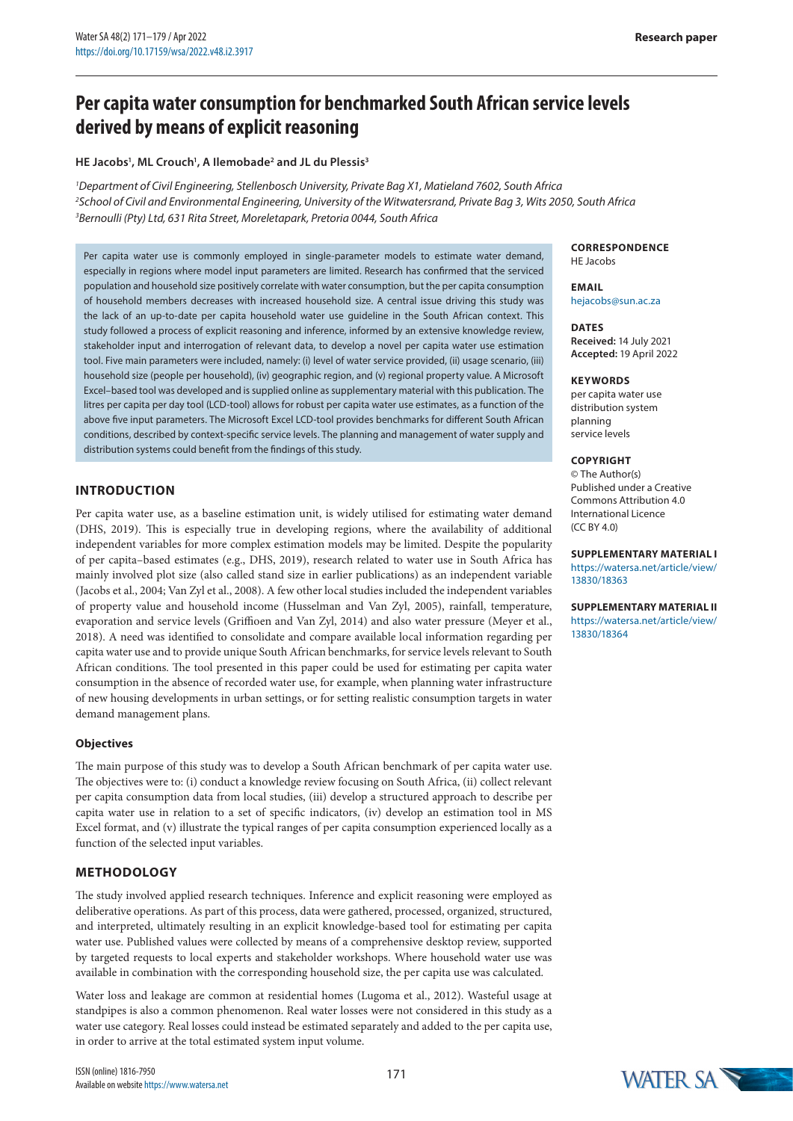# **Per capita water consumption for benchmarked South African service levels derived by means of explicit reasoning**

## **HE Jacobs1 , ML Crouch1 , A Ilemobade2 and JL du Plessis3**

*1 Department of Civil Engineering, Stellenbosch University, Private Bag X1, Matieland 7602, South Africa 2 School of Civil and Environmental Engineering, University of the Witwatersrand, Private Bag 3, Wits 2050, South Africa 3 Bernoulli (Pty) Ltd, 631 Rita Street, Moreletapark, Pretoria 0044, South Africa*

Per capita water use is commonly employed in single-parameter models to estimate water demand, especially in regions where model input parameters are limited. Research has confirmed that the serviced population and household size positively correlate with water consumption, but the per capita consumption of household members decreases with increased household size. A central issue driving this study was the lack of an up-to-date per capita household water use guideline in the South African context. This study followed a process of explicit reasoning and inference, informed by an extensive knowledge review, stakeholder input and interrogation of relevant data, to develop a novel per capita water use estimation tool. Five main parameters were included, namely: (i) level of water service provided, (ii) usage scenario, (iii) household size (people per household), (iv) geographic region, and (v) regional property value. A Microsoft Excel–based tool was developed and is supplied online as supplementary material with this publication. The litres per capita per day tool (LCD-tool) allows for robust per capita water use estimates, as a function of the above five input parameters. The Microsoft Excel LCD-tool provides benchmarks for different South African conditions, described by context-specific service levels. The planning and management of water supply and distribution systems could benefit from the findings of this study.

# **INTRODUCTION**

Per capita water use, as a baseline estimation unit, is widely utilised for estimating water demand (DHS, 2019). This is especially true in developing regions, where the availability of additional independent variables for more complex estimation models may be limited. Despite the popularity of per capita–based estimates (e.g., DHS, 2019), research related to water use in South Africa has mainly involved plot size (also called stand size in earlier publications) as an independent variable (Jacobs et al., 2004; Van Zyl et al., 2008). A few other local studies included the independent variables of property value and household income (Husselman and Van Zyl, 2005), rainfall, temperature, evaporation and service levels (Griffioen and Van Zyl, 2014) and also water pressure (Meyer et al., 2018). A need was identified to consolidate and compare available local information regarding per capita water use and to provide unique South African benchmarks, for service levels relevant to South African conditions. The tool presented in this paper could be used for estimating per capita water consumption in the absence of recorded water use, for example, when planning water infrastructure of new housing developments in urban settings, or for setting realistic consumption targets in water demand management plans.

## **Objectives**

The main purpose of this study was to develop a South African benchmark of per capita water use. The objectives were to: (i) conduct a knowledge review focusing on South Africa, (ii) collect relevant per capita consumption data from local studies, (iii) develop a structured approach to describe per capita water use in relation to a set of specific indicators, (iv) develop an estimation tool in MS Excel format, and (v) illustrate the typical ranges of per capita consumption experienced locally as a function of the selected input variables.

# **METHODOLOGY**

The study involved applied research techniques. Inference and explicit reasoning were employed as deliberative operations. As part of this process, data were gathered, processed, organized, structured, and interpreted, ultimately resulting in an explicit knowledge-based tool for estimating per capita water use. Published values were collected by means of a comprehensive desktop review, supported by targeted requests to local experts and stakeholder workshops. Where household water use was available in combination with the corresponding household size, the per capita use was calculated.

Water loss and leakage are common at residential homes (Lugoma et al., 2012). Wasteful usage at standpipes is also a common phenomenon. Real water losses were not considered in this study as a water use category. Real losses could instead be estimated separately and added to the per capita use, in order to arrive at the total estimated system input volume.

**CORRESPONDENCE** HE Jacobs

**EMAIL** hejacobs@sun.ac.za

**DATES Received:** 14 July 2021 **Accepted:** 19 April 2022

#### **KEYWORDS**

per capita water use distribution system planning service levels

#### **COPYRIGHT**

© The Author(s) Published under a [Creative](https://creativecommons.org/licenses/by/4.0/)  [Commons Attribution 4.0](https://creativecommons.org/licenses/by/4.0/) [International Licence](https://creativecommons.org/licenses/by/4.0/) [\(CC BY 4.0\)](https://creativecommons.org/licenses/by/4.0/)

**SUPPLEMENTARY MATERIAL I** [https://watersa.net/article/view/](https://watersa.net/article/view/13830/18363) [13830/18363](https://watersa.net/article/view/13830/18363)

**SUPPLEMENTARY MATERIAL II** [https://watersa.net/article/view/](https://watersa.net/article/view/13830/18364) [13830/18364](https://watersa.net/article/view/13830/18364)

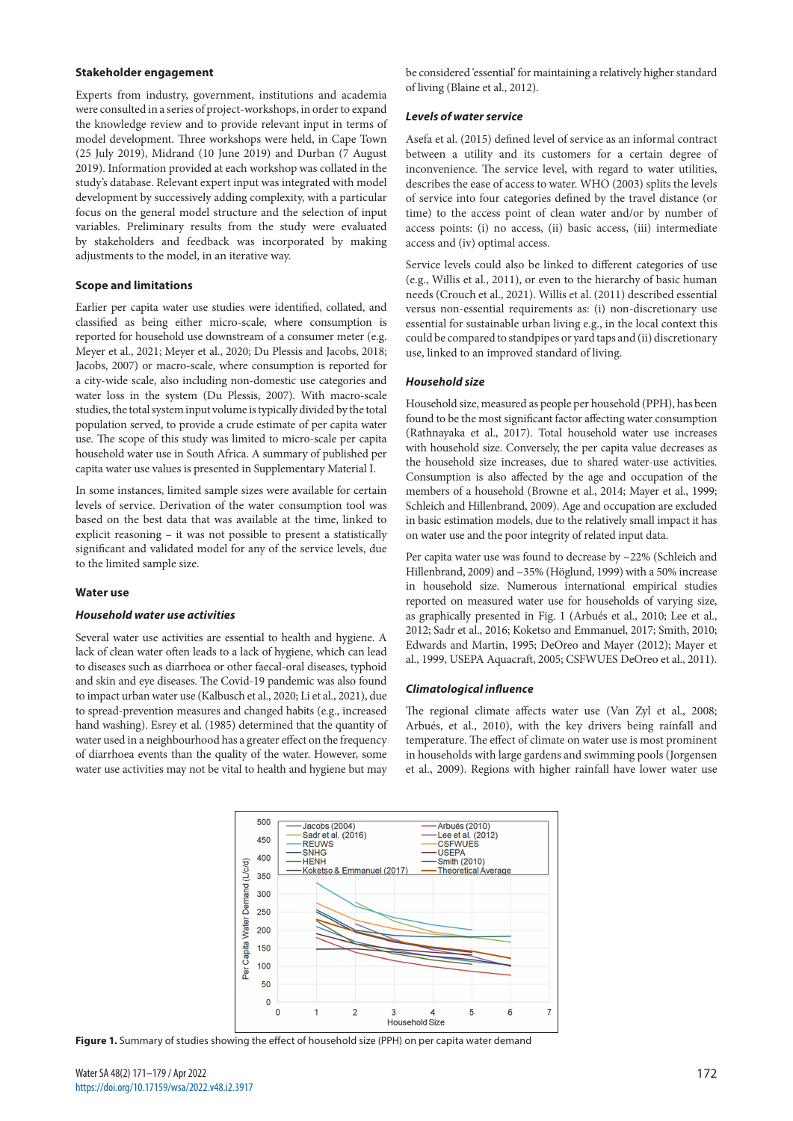#### **Stakeholder engagement**

Experts from industry, government, institutions and academia were consulted in a series of project-workshops, in order to expand the knowledge review and to provide relevant input in terms of model development. Three workshops were held, in Cape Town (25 July 2019), Midrand (10 June 2019) and Durban (7 August 2019). Information provided at each workshop was collated in the study's database. Relevant expert input was integrated with model development by successively adding complexity, with a particular focus on the general model structure and the selection of input variables. Preliminary results from the study were evaluated by stakeholders and feedback was incorporated by making adjustments to the model, in an iterative way.

### **Scope and limitations**

Earlier per capita water use studies were identified, collated, and classified as being either micro-scale, where consumption is reported for household use downstream of a consumer meter (e.g. Meyer et al., 2021; Meyer et al., 2020; Du Plessis and Jacobs, 2018; Jacobs, 2007) or macro-scale, where consumption is reported for a city-wide scale, also including non-domestic use categories and water loss in the system (Du Plessis, 2007). With macro-scale studies, the total system input volume is typically divided by the total population served, to provide a crude estimate of per capita water use. The scope of this study was limited to micro-scale per capita household water use in South Africa. A summary of published per capita water use values is presented in Supplementary Material I.

In some instances, limited sample sizes were available for certain levels of service. Derivation of the water consumption tool was based on the best data that was available at the time, linked to explicit reasoning – it was not possible to present a statistically significant and validated model for any of the service levels, due to the limited sample size.

#### **Water use**

### *Household water use activities*

Several water use activities are essential to health and hygiene. A lack of clean water often leads to a lack of hygiene, which can lead to diseases such as diarrhoea or other faecal-oral diseases, typhoid and skin and eye diseases. The Covid-19 pandemic was also found to impact urban water use (Kalbusch et al., 2020; Li et al., 2021), due to spread-prevention measures and changed habits (e.g., increased hand washing). Esrey et al. (1985) determined that the quantity of water used in a neighbourhood has a greater effect on the frequency of diarrhoea events than the quality of the water. However, some water use activities may not be vital to health and hygiene but may be considered 'essential' for maintaining a relatively higher standard of living (Blaine et al., 2012).

#### *Levels of water service*

Asefa et al. (2015) defined level of service as an informal contract between a utility and its customers for a certain degree of inconvenience. The service level, with regard to water utilities, describes the ease of access to water. WHO (2003) splits the levels of service into four categories defined by the travel distance (or time) to the access point of clean water and/or by number of access points: (i) no access, (ii) basic access, (iii) intermediate access and (iv) optimal access.

Service levels could also be linked to different categories of use (e.g., Willis et al., 2011), or even to the hierarchy of basic human needs (Crouch et al., 2021). Willis et al. (2011) described essential versus non-essential requirements as: (i) non-discretionary use essential for sustainable urban living e.g., in the local context this could be compared to standpipes or yard taps and (ii) discretionary use, linked to an improved standard of living.

### *Household size*

Household size, measured as people per household (PPH), has been found to be the most significant factor affecting water consumption (Rathnayaka et al., 2017). Total household water use increases with household size. Conversely, the per capita value decreases as the household size increases, due to shared water-use activities. Consumption is also affected by the age and occupation of the members of a household (Browne et al., 2014; Mayer et al., 1999; Schleich and Hillenbrand, 2009). Age and occupation are excluded in basic estimation models, due to the relatively small impact it has on water use and the poor integrity of related input data.

Per capita water use was found to decrease by ~22% (Schleich and Hillenbrand, 2009) and ~35% (Höglund, 1999) with a 50% increase in household size. Numerous international empirical studies reported on measured water use for households of varying size, as graphically presented in Fig. 1 (Arbués et al., 2010; Lee et al., 2012; Sadr et al., 2016; Koketso and Emmanuel, 2017; Smith, 2010; Edwards and Martin, 1995; DeOreo and Mayer (2012); Mayer et al., 1999, USEPA Aquacraft, 2005; CSFWUES DeOreo et al., 2011).

#### *Climatological influence*

The regional climate affects water use (Van Zyl et al., 2008; Arbués, et al., 2010), with the key drivers being rainfall and temperature. The effect of climate on water use is most prominent in households with large gardens and swimming pools (Jorgensen et al., 2009). Regions with higher rainfall have lower water use



Figure 1. Summary of studies showing the effect of household size (PPH) on per capita water demand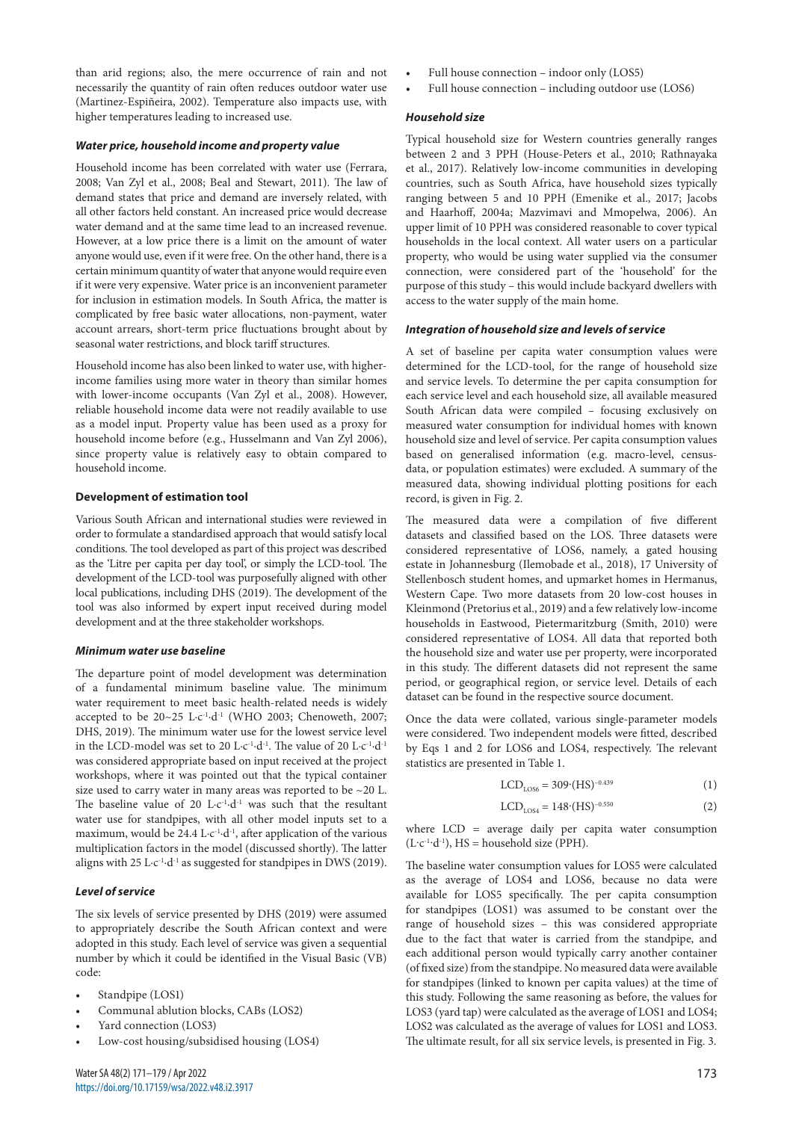than arid regions; also, the mere occurrence of rain and not necessarily the quantity of rain often reduces outdoor water use (Martinez-Espiñeira, 2002). Temperature also impacts use, with higher temperatures leading to increased use.

## *Water price, household income and property value*

Household income has been correlated with water use (Ferrara, 2008; Van Zyl et al., 2008; Beal and Stewart, 2011). The law of demand states that price and demand are inversely related, with all other factors held constant. An increased price would decrease water demand and at the same time lead to an increased revenue. However, at a low price there is a limit on the amount of water anyone would use, even if it were free. On the other hand, there is a certain minimum quantity of water that anyone would require even if it were very expensive. Water price is an inconvenient parameter for inclusion in estimation models. In South Africa, the matter is complicated by free basic water allocations, non-payment, water account arrears, short-term price fluctuations brought about by seasonal water restrictions, and block tariff structures.

Household income has also been linked to water use, with higherincome families using more water in theory than similar homes with lower-income occupants (Van Zyl et al., 2008). However, reliable household income data were not readily available to use as a model input. Property value has been used as a proxy for household income before (e.g., Husselmann and Van Zyl 2006), since property value is relatively easy to obtain compared to household income.

#### **Development of estimation tool**

Various South African and international studies were reviewed in order to formulate a standardised approach that would satisfy local conditions. The tool developed as part of this project was described as the 'Litre per capita per day tool', or simply the LCD-tool. The development of the LCD-tool was purposefully aligned with other local publications, including DHS (2019). The development of the tool was also informed by expert input received during model development and at the three stakeholder workshops.

#### *Minimum water use baseline*

The departure point of model development was determination of a fundamental minimum baseline value. The minimum water requirement to meet basic health-related needs is widely accepted to be  $20~25$  L·c<sup>-1</sup>·d<sup>-1</sup> (WHO 2003; Chenoweth, 2007; DHS, 2019). The minimum water use for the lowest service level in the LCD-model was set to 20 L·c<sup>-1</sup>·d<sup>-1</sup>. The value of 20 L·c<sup>-1</sup>·d<sup>-1</sup> was considered appropriate based on input received at the project workshops, where it was pointed out that the typical container size used to carry water in many areas was reported to be ~20 L. The baseline value of 20  $L \cdot c^{-1} \cdot d^{-1}$  was such that the resultant water use for standpipes, with all other model inputs set to a maximum, would be 24.4 L $\cdot$ c<sup>-1</sup> $\cdot$ d<sup>-1</sup>, after application of the various multiplication factors in the model (discussed shortly). The latter aligns with 25 L·c<sup>-1</sup>·d<sup>-1</sup> as suggested for standpipes in DWS (2019).

#### *Level of service*

The six levels of service presented by DHS (2019) were assumed to appropriately describe the South African context and were adopted in this study. Each level of service was given a sequential number by which it could be identified in the Visual Basic (VB) code:

- Standpipe (LOS1)
- Communal ablution blocks, CABs (LOS2)
- Yard connection (LOS3)
- Low-cost housing/subsidised housing (LOS4)
- Full house connection indoor only (LOS5)
- Full house connection including outdoor use (LOS6)

#### *Household size*

Typical household size for Western countries generally ranges between 2 and 3 PPH (House-Peters et al., 2010; Rathnayaka et al., 2017). Relatively low-income communities in developing countries, such as South Africa, have household sizes typically ranging between 5 and 10 PPH (Emenike et al., 2017; Jacobs and Haarhoff, 2004a; Mazvimavi and Mmopelwa, 2006). An upper limit of 10 PPH was considered reasonable to cover typical households in the local context. All water users on a particular property, who would be using water supplied via the consumer connection, were considered part of the 'household' for the purpose of this study – this would include backyard dwellers with access to the water supply of the main home.

#### *Integration of household size and levels of service*

A set of baseline per capita water consumption values were determined for the LCD-tool, for the range of household size and service levels. To determine the per capita consumption for each service level and each household size, all available measured South African data were compiled – focusing exclusively on measured water consumption for individual homes with known household size and level of service. Per capita consumption values based on generalised information (e.g. macro-level, censusdata, or population estimates) were excluded. A summary of the measured data, showing individual plotting positions for each record, is given in Fig. 2.

The measured data were a compilation of five different datasets and classified based on the LOS. Three datasets were considered representative of LOS6, namely, a gated housing estate in Johannesburg (Ilemobade et al., 2018), 17 University of Stellenbosch student homes, and upmarket homes in Hermanus, Western Cape. Two more datasets from 20 low-cost houses in Kleinmond (Pretorius et al., 2019) and a few relatively low-income households in Eastwood, Pietermaritzburg (Smith, 2010) were considered representative of LOS4. All data that reported both the household size and water use per property, were incorporated in this study. The different datasets did not represent the same period, or geographical region, or service level. Details of each dataset can be found in the respective source document.

Once the data were collated, various single-parameter models were considered. Two independent models were fitted, described by Eqs 1 and 2 for LOS6 and LOS4, respectively. The relevant statistics are presented in Table 1.

$$
LCD_{\text{LOS6}} = 309 \cdot (HS)^{-0.439} \tag{1}
$$

$$
LCD_{LOS4} = 148 \cdot (HS)^{-0.550} \tag{2}
$$

where LCD = average daily per capita water consumption  $(L \cdot c^{-1} \cdot d^{-1})$ , HS = household size (PPH).

The baseline water consumption values for LOS5 were calculated as the average of LOS4 and LOS6, because no data were available for LOS5 specifically. The per capita consumption for standpipes (LOS1) was assumed to be constant over the range of household sizes – this was considered appropriate due to the fact that water is carried from the standpipe, and each additional person would typically carry another container (of fixed size) from the standpipe. No measured data were available for standpipes (linked to known per capita values) at the time of this study. Following the same reasoning as before, the values for LOS3 (yard tap) were calculated as the average of LOS1 and LOS4; LOS2 was calculated as the average of values for LOS1 and LOS3. The ultimate result, for all six service levels, is presented in Fig. 3.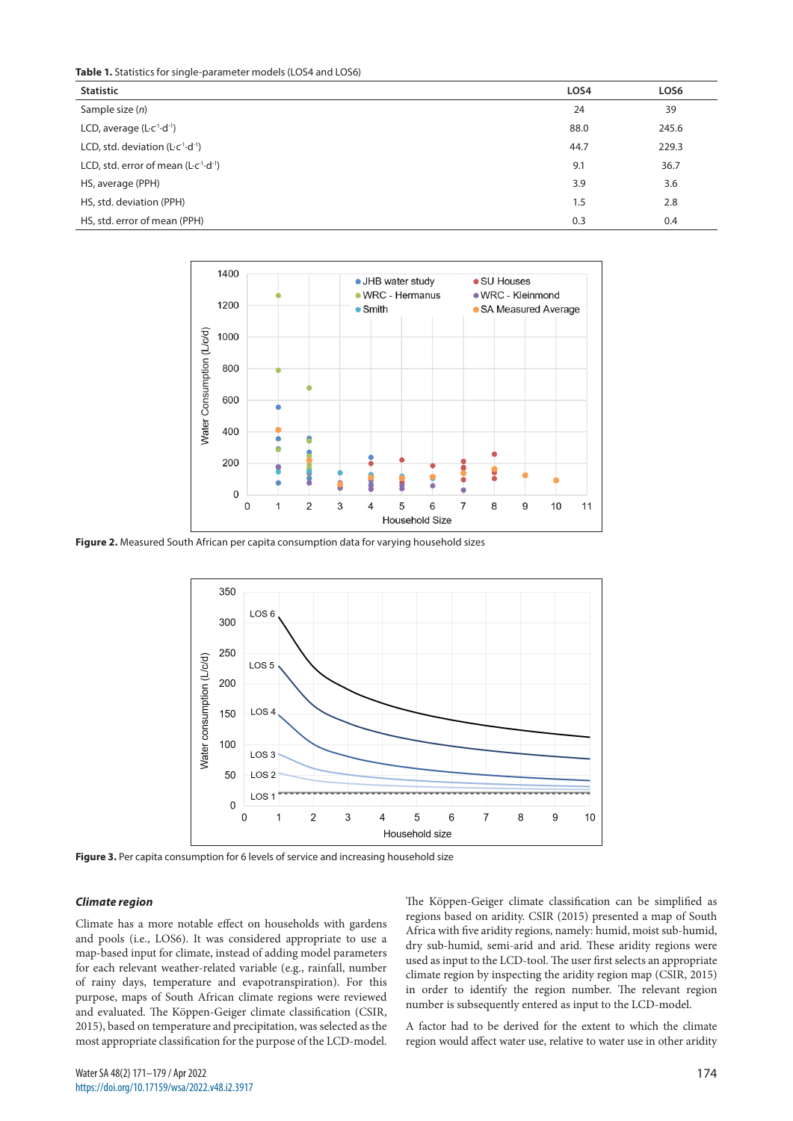**Table 1.** Statistics for single-parameter models (LOS4 and LOS6)

| <b>Statistic</b>                                        | LOS4 | LOS6  |
|---------------------------------------------------------|------|-------|
| Sample size $(n)$                                       | 24   | 39    |
| LCD, average $(L \ncolimits^{-1} \cdot d^{-1})$         | 88.0 | 245.6 |
| LCD, std. deviation $(L \cdot c^{-1} \cdot d^{-1})$     | 44.7 | 229.3 |
| LCD, std. error of mean $(L \cdot c^{-1} \cdot d^{-1})$ | 9.1  | 36.7  |
| HS, average (PPH)                                       | 3.9  | 3.6   |
| HS, std. deviation (PPH)                                | 1.5  | 2.8   |
| HS, std. error of mean (PPH)                            | 0.3  | 0.4   |



**Figure 2.** Measured South African per capita consumption data for varying household sizes



Figure 3. Per capita consumption for 6 levels of service and increasing household size

#### *Climate region*

Climate has a more notable effect on households with gardens and pools (i.e., LOS6). It was considered appropriate to use a map-based input for climate, instead of adding model parameters for each relevant weather-related variable (e.g., rainfall, number of rainy days, temperature and evapotranspiration). For this purpose, maps of South African climate regions were reviewed and evaluated. The Köppen-Geiger climate classification (CSIR, 2015), based on temperature and precipitation, was selected as the most appropriate classification for the purpose of the LCD-model. The Köppen-Geiger climate classification can be simplified as regions based on aridity. CSIR (2015) presented a map of South Africa with five aridity regions, namely: humid, moist sub-humid, dry sub-humid, semi-arid and arid. These aridity regions were used as input to the LCD-tool. The user first selects an appropriate climate region by inspecting the aridity region map (CSIR, 2015) in order to identify the region number. The relevant region number is subsequently entered as input to the LCD-model.

A factor had to be derived for the extent to which the climate region would affect water use, relative to water use in other aridity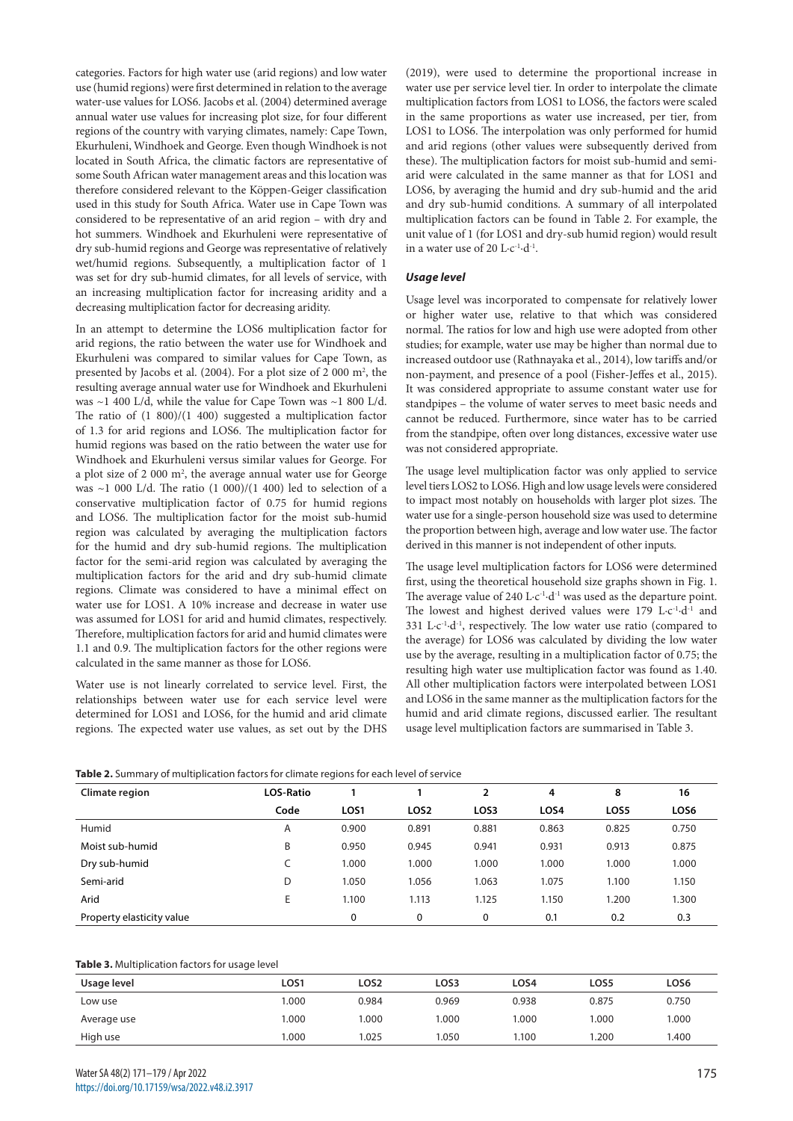categories. Factors for high water use (arid regions) and low water use (humid regions) were first determined in relation to the average water-use values for LOS6. Jacobs et al. (2004) determined average annual water use values for increasing plot size, for four different regions of the country with varying climates, namely: Cape Town, Ekurhuleni, Windhoek and George. Even though Windhoek is not located in South Africa, the climatic factors are representative of some South African water management areas and this location was therefore considered relevant to the Köppen-Geiger classification used in this study for South Africa. Water use in Cape Town was considered to be representative of an arid region – with dry and hot summers. Windhoek and Ekurhuleni were representative of dry sub-humid regions and George was representative of relatively wet/humid regions. Subsequently, a multiplication factor of 1 was set for dry sub-humid climates, for all levels of service, with an increasing multiplication factor for increasing aridity and a decreasing multiplication factor for decreasing aridity.

In an attempt to determine the LOS6 multiplication factor for arid regions, the ratio between the water use for Windhoek and Ekurhuleni was compared to similar values for Cape Town, as presented by Jacobs et al. (2004). For a plot size of 2 000  $m^2$ , the resulting average annual water use for Windhoek and Ekurhuleni was ~1 400 L/d, while the value for Cape Town was ~1 800 L/d. The ratio of (1 800)/(1 400) suggested a multiplication factor of 1.3 for arid regions and LOS6. The multiplication factor for humid regions was based on the ratio between the water use for Windhoek and Ekurhuleni versus similar values for George. For a plot size of 2 000 m<sup>2</sup>, the average annual water use for George was  $\sim$ 1 000 L/d. The ratio (1 000)/(1 400) led to selection of a conservative multiplication factor of 0.75 for humid regions and LOS6. The multiplication factor for the moist sub-humid region was calculated by averaging the multiplication factors for the humid and dry sub-humid regions. The multiplication factor for the semi-arid region was calculated by averaging the multiplication factors for the arid and dry sub-humid climate regions. Climate was considered to have a minimal effect on water use for LOS1. A 10% increase and decrease in water use was assumed for LOS1 for arid and humid climates, respectively. Therefore, multiplication factors for arid and humid climates were 1.1 and 0.9. The multiplication factors for the other regions were calculated in the same manner as those for LOS6.

Water use is not linearly correlated to service level. First, the relationships between water use for each service level were determined for LOS1 and LOS6, for the humid and arid climate regions. The expected water use values, as set out by the DHS (2019), were used to determine the proportional increase in water use per service level tier. In order to interpolate the climate multiplication factors from LOS1 to LOS6, the factors were scaled in the same proportions as water use increased, per tier, from LOS1 to LOS6. The interpolation was only performed for humid and arid regions (other values were subsequently derived from these). The multiplication factors for moist sub-humid and semiarid were calculated in the same manner as that for LOS1 and LOS6, by averaging the humid and dry sub-humid and the arid and dry sub-humid conditions. A summary of all interpolated multiplication factors can be found in Table 2. For example, the unit value of 1 (for LOS1 and dry-sub humid region) would result in a water use of 20  $L \cdot c^{-1} \cdot d^{-1}$ .

# *Usage level*

Usage level was incorporated to compensate for relatively lower or higher water use, relative to that which was considered normal. The ratios for low and high use were adopted from other studies; for example, water use may be higher than normal due to increased outdoor use (Rathnayaka et al., 2014), low tariffs and/or non-payment, and presence of a pool (Fisher-Jeffes et al., 2015). It was considered appropriate to assume constant water use for standpipes – the volume of water serves to meet basic needs and cannot be reduced. Furthermore, since water has to be carried from the standpipe, often over long distances, excessive water use was not considered appropriate.

The usage level multiplication factor was only applied to service level tiers LOS2 to LOS6. High and low usage levels were considered to impact most notably on households with larger plot sizes. The water use for a single-person household size was used to determine the proportion between high, average and low water use. The factor derived in this manner is not independent of other inputs.

The usage level multiplication factors for LOS6 were determined first, using the theoretical household size graphs shown in Fig. 1. The average value of  $240 \mathrm{L} \cdot \mathrm{c}^{-1} \cdot \mathrm{d}^{-1}$  was used as the departure point. The lowest and highest derived values were 179 L-c<sup>-1</sup>·d<sup>-1</sup> and 331 L·c<sup>-1</sup>·d<sup>-1</sup>, respectively. The low water use ratio (compared to the average) for LOS6 was calculated by dividing the low water use by the average, resulting in a multiplication factor of 0.75; the resulting high water use multiplication factor was found as 1.40. All other multiplication factors were interpolated between LOS1 and LOS6 in the same manner as the multiplication factors for the humid and arid climate regions, discussed earlier. The resultant usage level multiplication factors are summarised in Table 3.

|  |  | Table 2. Summary of multiplication factors for climate regions for each level of service |  |  |
|--|--|------------------------------------------------------------------------------------------|--|--|
|  |  |                                                                                          |  |  |

| Climate region            | <b>LOS-Ratio</b> |                  |                  | $\overline{2}$ | 4     | 8     | 16    |
|---------------------------|------------------|------------------|------------------|----------------|-------|-------|-------|
|                           | Code             | LOS <sub>1</sub> | LOS <sub>2</sub> | LOS3           | LOS4  | LOS5  | LOS6  |
| Humid                     | A                | 0.900            | 0.891            | 0.881          | 0.863 | 0.825 | 0.750 |
| Moist sub-humid           | B                | 0.950            | 0.945            | 0.941          | 0.931 | 0.913 | 0.875 |
| Dry sub-humid             |                  | 1.000            | 1.000            | 1.000          | 1.000 | 1.000 | 1.000 |
| Semi-arid                 | D                | 1.050            | 1.056            | 1.063          | 1.075 | 1.100 | 1.150 |
| Arid                      | E                | 1.100            | 1.113            | 1.125          | 1.150 | 1.200 | 1.300 |
| Property elasticity value |                  | 0                | 0                | 0              | 0.1   | 0.2   | 0.3   |

### **Table 3.** Multiplication factors for usage level

| Usage level | LOS1 | LOS <sub>2</sub> | LOS3  | LOS4         | LOS5  | LOS6  |
|-------------|------|------------------|-------|--------------|-------|-------|
| Low use     | 000. | 0.984            | 0.969 | 0.938        | 0.875 | 0.750 |
| Average use | .000 | .000             | .000  | 000.1        | 1.000 | 1.000 |
| High use    | .000 | 1.025            | .050  | <b>100.1</b> | .200  | 1.400 |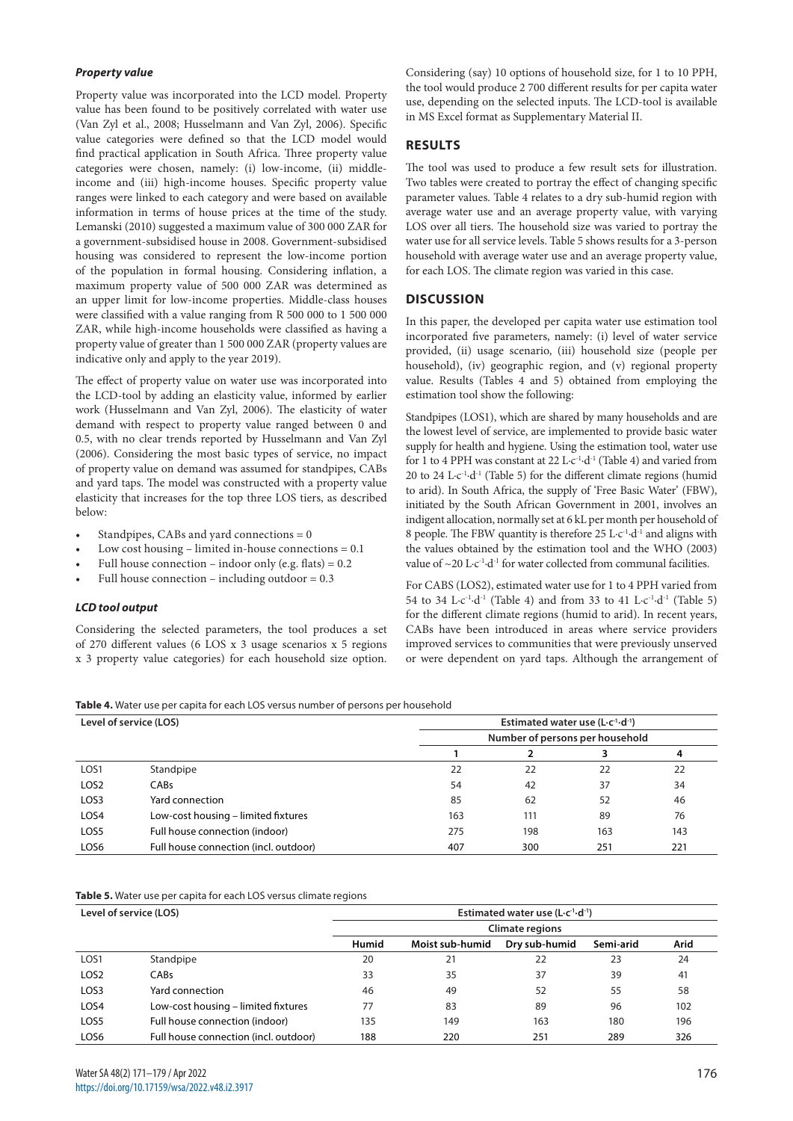# *Property value*

Property value was incorporated into the LCD model. Property value has been found to be positively correlated with water use (Van Zyl et al., 2008; Husselmann and Van Zyl, 2006). Specific value categories were defined so that the LCD model would find practical application in South Africa. Three property value categories were chosen, namely: (i) low-income, (ii) middleincome and (iii) high-income houses. Specific property value ranges were linked to each category and were based on available information in terms of house prices at the time of the study. Lemanski (2010) suggested a maximum value of 300 000 ZAR for a government-subsidised house in 2008. Government-subsidised housing was considered to represent the low-income portion of the population in formal housing. Considering inflation, a maximum property value of 500 000 ZAR was determined as an upper limit for low-income properties. Middle-class houses were classified with a value ranging from R 500 000 to 1 500 000 ZAR, while high-income households were classified as having a property value of greater than 1 500 000 ZAR (property values are indicative only and apply to the year 2019).

The effect of property value on water use was incorporated into the LCD-tool by adding an elasticity value, informed by earlier work (Husselmann and Van Zyl, 2006). The elasticity of water demand with respect to property value ranged between 0 and 0.5, with no clear trends reported by Husselmann and Van Zyl (2006). Considering the most basic types of service, no impact of property value on demand was assumed for standpipes, CABs and yard taps. The model was constructed with a property value elasticity that increases for the top three LOS tiers, as described below:

- Standpipes, CABs and yard connections  $= 0$
- Low cost housing limited in-house connections  $= 0.1$
- Full house connection indoor only (e.g. flats) =  $0.2$
- Full house connection including outdoor =  $0.3$

# *LCD tool output*

Considering the selected parameters, the tool produces a set of 270 different values (6 LOS x 3 usage scenarios x 5 regions x 3 property value categories) for each household size option. Considering (say) 10 options of household size, for 1 to 10 PPH, the tool would produce 2 700 different results for per capita water use, depending on the selected inputs. The LCD-tool is available in MS Excel format as Supplementary Material II.

# **RESULTS**

The tool was used to produce a few result sets for illustration. Two tables were created to portray the effect of changing specific parameter values. Table 4 relates to a dry sub-humid region with average water use and an average property value, with varying LOS over all tiers. The household size was varied to portray the water use for all service levels. Table 5 shows results for a 3-person household with average water use and an average property value, for each LOS. The climate region was varied in this case.

# **DISCUSSION**

In this paper, the developed per capita water use estimation tool incorporated five parameters, namely: (i) level of water service provided, (ii) usage scenario, (iii) household size (people per household), (iv) geographic region, and (v) regional property value. Results (Tables 4 and 5) obtained from employing the estimation tool show the following:

Standpipes (LOS1), which are shared by many households and are the lowest level of service, are implemented to provide basic water supply for health and hygiene. Using the estimation tool, water use for 1 to 4 PPH was constant at 22 L·c<sup>-1</sup>·d<sup>-1</sup> (Table 4) and varied from 20 to 24 L $c^{-1}$ ·d<sup>-1</sup> (Table 5) for the different climate regions (humid to arid). In South Africa, the supply of 'Free Basic Water' (FBW), initiated by the South African Government in 2001, involves an indigent allocation, normally set at 6 kL per month per household of 8 people. The FBW quantity is therefore  $25 \mathrm{L} \cdot c^{1} \cdot d^{1}$  and aligns with the values obtained by the estimation tool and the WHO (2003) value of  $\sim$  20 L·c<sup>-1</sup>·d<sup>-1</sup> for water collected from communal facilities.

For CABS (LOS2), estimated water use for 1 to 4 PPH varied from 54 to 34 L·c<sup>-1</sup>·d<sup>-1</sup> (Table 4) and from 33 to 41 L·c<sup>-1</sup>·d<sup>-1</sup> (Table 5) for the different climate regions (humid to arid). In recent years, CABs have been introduced in areas where service providers improved services to communities that were previously unserved or were dependent on yard taps. Although the arrangement of

**Table 4.** Water use per capita for each LOS versus number of persons per household

| Level of service (LOS) |                                       | Estimated water use $(L \cdot c^{-1} \cdot d^{-1})$ |     |     |     |  |  |
|------------------------|---------------------------------------|-----------------------------------------------------|-----|-----|-----|--|--|
|                        |                                       | Number of persons per household                     |     |     |     |  |  |
|                        |                                       |                                                     |     | 3   | 4   |  |  |
| LOS <sub>1</sub>       | Standpipe                             | 22                                                  | 22  | 22  | 22  |  |  |
| LOS <sub>2</sub>       | CABs                                  | 54                                                  | 42  | 37  | 34  |  |  |
| LOS <sub>3</sub>       | Yard connection                       | 85                                                  | 62  | 52  | 46  |  |  |
| LOS4                   | Low-cost housing – limited fixtures   | 163                                                 | 111 | 89  | 76  |  |  |
| LOS5                   | Full house connection (indoor)        | 275                                                 | 198 | 163 | 143 |  |  |
| LOS6                   | Full house connection (incl. outdoor) | 407                                                 | 300 | 251 | 221 |  |  |

**Table 5.** Water use per capita for each LOS versus climate regions

| Level of service (LOS) |                                       | Estimated water use $(L \cdot c^{-1} \cdot d^{-1})$ |                 |               |           |      |  |  |
|------------------------|---------------------------------------|-----------------------------------------------------|-----------------|---------------|-----------|------|--|--|
|                        |                                       | <b>Climate regions</b>                              |                 |               |           |      |  |  |
|                        |                                       | Humid                                               | Moist sub-humid | Dry sub-humid | Semi-arid | Arid |  |  |
| LOS <sub>1</sub>       | Standpipe                             | 20                                                  | 21              | 22            | 23        | 24   |  |  |
| LOS <sub>2</sub>       | CABs                                  | 33                                                  | 35              | 37            | 39        | 41   |  |  |
| LOS <sub>3</sub>       | Yard connection                       | 46                                                  | 49              | 52            | 55        | 58   |  |  |
| LOS4                   | Low-cost housing – limited fixtures   | 77                                                  | 83              | 89            | 96        | 102  |  |  |
| LOS5                   | Full house connection (indoor)        | 135                                                 | 149             | 163           | 180       | 196  |  |  |
| LOS6                   | Full house connection (incl. outdoor) | 188                                                 | 220             | 251           | 289       | 326  |  |  |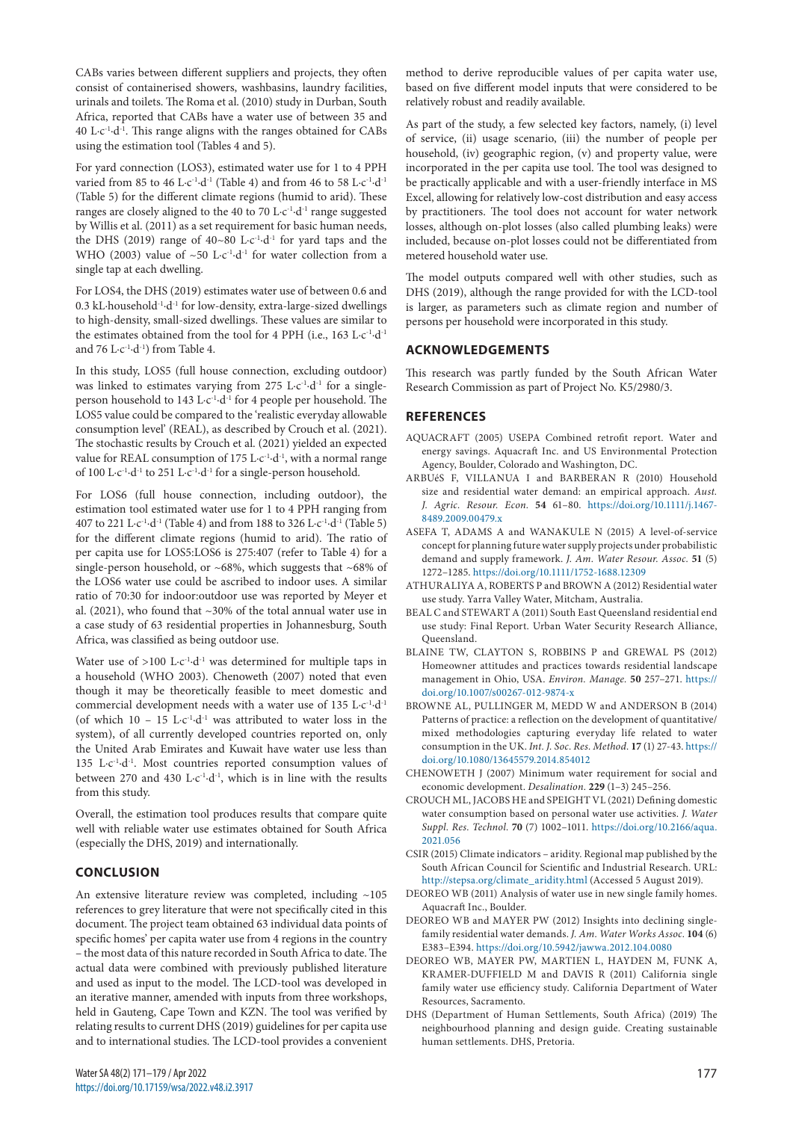CABs varies between different suppliers and projects, they often consist of containerised showers, washbasins, laundry facilities, urinals and toilets. The Roma et al. (2010) study in Durban, South Africa, reported that CABs have a water use of between 35 and 40 L·c-1·d-1. This range aligns with the ranges obtained for CABs using the estimation tool (Tables 4 and 5).

For yard connection (LOS3), estimated water use for 1 to 4 PPH varied from 85 to 46 L·c<sup>-1</sup>·d<sup>-1</sup> (Table 4) and from 46 to 58 L·c<sup>-1</sup>·d<sup>-1</sup> (Table 5) for the different climate regions (humid to arid). These ranges are closely aligned to the 40 to 70  $\rm L\text{-}c\text{-}l\text{-}d\text{-}1$  range suggested by Willis et al. (2011) as a set requirement for basic human needs, the DHS (2019) range of  $40~80$  L·c<sup>-1</sup>·d<sup>-1</sup> for yard taps and the WHO (2003) value of  $~50$  L·c<sup>-1</sup>·d<sup>-1</sup> for water collection from a single tap at each dwelling.

For LOS4, the DHS (2019) estimates water use of between 0.6 and 0.3 kL·household<sup>-1</sup>·d<sup>-1</sup> for low-density, extra-large-sized dwellings to high-density, small-sized dwellings. These values are similar to the estimates obtained from the tool for 4 PPH (i.e.,  $163 \text{ L} \cdot \text{c}^{-1} \cdot \text{d}^{-1}$ and 76 L $\cdot$ c<sup>-1</sup> $\cdot$ d<sup>-1</sup>) from Table 4.

In this study, LOS5 (full house connection, excluding outdoor) was linked to estimates varying from 275 L·c<sup>-1</sup>·d<sup>-1</sup> for a singleperson household to 143 L·c-1·d-1 for 4 people per household. The LOS5 value could be compared to the 'realistic everyday allowable consumption level' (REAL), as described by Crouch et al. (2021). The stochastic results by Crouch et al. (2021) yielded an expected value for REAL consumption of 175 L·c<sup>-1</sup>·d<sup>-1</sup>, with a normal range of 100 L·c-1·d-1 to 251 L·c-1·d-1 for a single-person household.

For LOS6 (full house connection, including outdoor), the estimation tool estimated water use for 1 to 4 PPH ranging from 407 to 221 L·c-1·d-1 (Table 4) and from 188 to 326 L·c-1·d-1 (Table 5) for the different climate regions (humid to arid). The ratio of per capita use for LOS5:LOS6 is 275:407 (refer to Table 4) for a single-person household, or ~68%, which suggests that ~68% of the LOS6 water use could be ascribed to indoor uses. A similar ratio of 70:30 for indoor:outdoor use was reported by Meyer et al. (2021), who found that ~30% of the total annual water use in a case study of 63 residential properties in Johannesburg, South Africa, was classified as being outdoor use.

Water use of  $>100$  L·c<sup>-1</sup>·d<sup>-1</sup> was determined for multiple taps in a household (WHO 2003). Chenoweth (2007) noted that even though it may be theoretically feasible to meet domestic and commercial development needs with a water use of 135 L·c<sup>-1</sup>·d<sup>-1</sup> (of which  $10 - 15$  L·c<sup>-1</sup>·d<sup>-1</sup> was attributed to water loss in the system), of all currently developed countries reported on, only the United Arab Emirates and Kuwait have water use less than 135 L·c<sup>-1</sup>·d<sup>-1</sup>. Most countries reported consumption values of between 270 and 430 L·c<sup>-1</sup>·d<sup>-1</sup>, which is in line with the results from this study.

Overall, the estimation tool produces results that compare quite well with reliable water use estimates obtained for South Africa (especially the DHS, 2019) and internationally.

# **CONCLUSION**

An extensive literature review was completed, including ~105 references to grey literature that were not specifically cited in this document. The project team obtained 63 individual data points of specific homes' per capita water use from 4 regions in the country – the most data of this nature recorded in South Africa to date. The actual data were combined with previously published literature and used as input to the model. The LCD-tool was developed in an iterative manner, amended with inputs from three workshops, held in Gauteng, Cape Town and KZN. The tool was verified by relating results to current DHS (2019) guidelines for per capita use and to international studies. The LCD-tool provides a convenient

method to derive reproducible values of per capita water use, based on five different model inputs that were considered to be relatively robust and readily available.

As part of the study, a few selected key factors, namely, (i) level of service, (ii) usage scenario, (iii) the number of people per household, (iv) geographic region, (v) and property value, were incorporated in the per capita use tool. The tool was designed to be practically applicable and with a user-friendly interface in MS Excel, allowing for relatively low-cost distribution and easy access by practitioners. The tool does not account for water network losses, although on-plot losses (also called plumbing leaks) were included, because on-plot losses could not be differentiated from metered household water use.

The model outputs compared well with other studies, such as DHS (2019), although the range provided for with the LCD-tool is larger, as parameters such as climate region and number of persons per household were incorporated in this study.

## **ACKNOWLEDGEMENTS**

This research was partly funded by the South African Water Research Commission as part of Project No. K5/2980/3.

#### **REFERENCES**

- AQUACRAFT (2005) USEPA Combined retrofit report. Water and energy savings. Aquacraft Inc. and US Environmental Protection Agency, Boulder, Colorado and Washington, DC.
- ARBUéS F, VILLANUA I and BARBERAN R (2010) Household size and residential water demand: an empirical approach. *Aust. J. Agric. Resour. Econ.* **54** 61–80. [https://doi.org/10.1111/j.1467-](https://doi.org/10.1111/j.1467-8489.2009.00479.x) [8489.2009.00479.x](https://doi.org/10.1111/j.1467-8489.2009.00479.x)
- ASEFA T, ADAMS A and WANAKULE N (2015) A level‐of‐service concept for planning future water supply projects under probabilistic demand and supply framework. *J. Am. Water Resour. Assoc.* **51** (5) 1272–1285.<https://doi.org/10.1111/1752-1688.12309>
- ATHURALIYA A, ROBERTS P and BROWN A (2012) Residential water use study. Yarra Valley Water, Mitcham, Australia.
- BEAL C and STEWART A (2011) South East Queensland residential end use study: Final Report. Urban Water Security Research Alliance, Queensland.
- BLAINE TW, CLAYTON S, ROBBINS P and GREWAL PS (2012) Homeowner attitudes and practices towards residential landscape management in Ohio, USA. *Environ. Manage.* **50** 257–271. [https://](https://doi.org/10.1007/s00267-012-9874-x) [doi.org/10.1007/s00267-012-9874-x](https://doi.org/10.1007/s00267-012-9874-x)
- BROWNE AL, PULLINGER M, MEDD W and ANDERSON B (2014) Patterns of practice: a reflection on the development of quantitative/ mixed methodologies capturing everyday life related to water consumption in the UK. *Int. J. Soc. Res. Method.* **17** (1) 27-43. [https://](https://doi.org/10.1080/13645579.2014.854012) [doi.org/10.1080/13645579.2014.854012](https://doi.org/10.1080/13645579.2014.854012)
- CHENOWETH J (2007) Minimum water requirement for social and economic development. *Desalination.* **229** (1–3) 245–256.
- CROUCH ML, JACOBS HE and SPEIGHT VL (2021) Defining domestic water consumption based on personal water use activities. *J. Water Suppl. Res. Technol.* **70** (7) 1002–1011. [https://doi.org/10.2166/aqua.](https://doi.org/10.2166/aqua.2021.056) [2021.056](https://doi.org/10.2166/aqua.2021.056)
- CSIR (2015) Climate indicators aridity. Regional map published by the South African Council for Scientific and Industrial Research. URL: [http://stepsa.org/climate\\_aridity.html](http://stepsa.org/climate_aridity.html) (Accessed 5 August 2019).
- DEOREO WB (2011) Analysis of water use in new single family homes. Aquacraft Inc., Boulder.
- DEOREO WB and MAYER PW (2012) Insights into declining singlefamily residential water demands. *J. Am. Water Works Assoc.* **104** (6) E383–E394. <https://doi.org/10.5942/jawwa.2012.104.0080>
- DEOREO WB, MAYER PW, MARTIEN L, HAYDEN M, FUNK A, KRAMER-DUFFIELD M and DAVIS R (2011) California single family water use efficiency study. California Department of Water Resources, Sacramento.
- DHS (Department of Human Settlements, South Africa) (2019) The neighbourhood planning and design guide. Creating sustainable human settlements. DHS, Pretoria.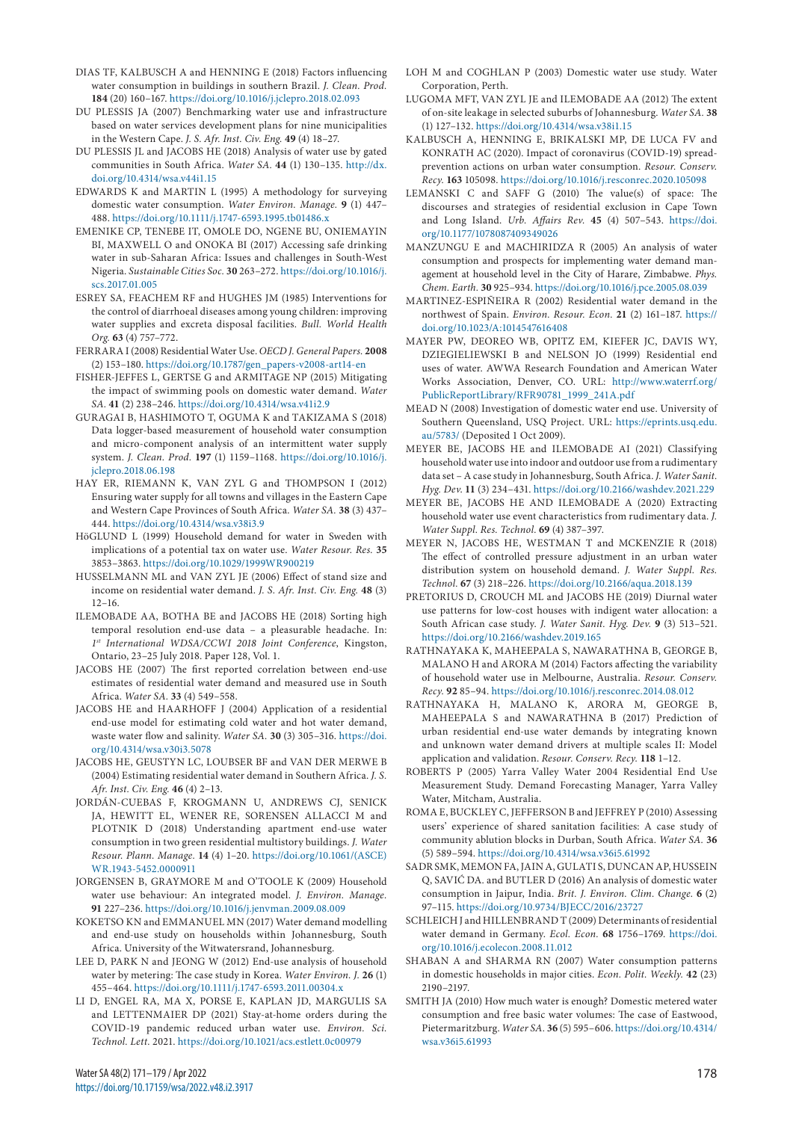- DIAS TF, KALBUSCH A and HENNING E (2018) Factors influencing water consumption in buildings in southern Brazil. *J. Clean. Prod.* **184** (20) 160–167.<https://doi.org/10.1016/j.jclepro.2018.02.093>
- DU PLESSIS JA (2007) Benchmarking water use and infrastructure based on water services development plans for nine municipalities in the Western Cape. *J. S. Afr. Inst. Civ. Eng.* **49** (4) 18–27.
- DU PLESSIS JL and JACOBS HE (2018) Analysis of water use by gated communities in South Africa. *Water SA.* **44** (1) 130–135. [http://dx.](http://dx.doi.org/10.4314/wsa.v44i1.15) [doi.org/10.4314/wsa.v44i1.15](http://dx.doi.org/10.4314/wsa.v44i1.15)
- EDWARDS K and MARTIN L (1995) A methodology for surveying domestic water consumption. *Water Environ. Manage.* **9** (1) 447– 488.<https://doi.org/10.1111/j.1747-6593.1995.tb01486.x>
- EMENIKE CP, TENEBE IT, OMOLE DO, NGENE BU, ONIEMAYIN BI, MAXWELL O and ONOKA BI (2017) Accessing safe drinking water in sub-Saharan Africa: Issues and challenges in South-West Nigeria. *Sustainable Cities Soc.* **30** 263–272. [https://doi.org/10.1016/j.](https://doi.org/10.1016/j.scs.2017.01.005) [scs.2017.01.005](https://doi.org/10.1016/j.scs.2017.01.005)
- ESREY SA, FEACHEM RF and HUGHES JM (1985) Interventions for the control of diarrhoeal diseases among young children: improving water supplies and excreta disposal facilities. *Bull. World Health Org.* **63** (4) 757–772.
- FERRARA I (2008) Residential Water Use. *OECD J. General Papers.* **2008** (2) 153–180. [https://doi.org/10.1787/gen\\_papers-v2008-art14-en](https://doi.org/10.1787/gen_papers-v2008-art14-en)
- FISHER-JEFFES L, GERTSE G and ARMITAGE NP (2015) Mitigating the impact of swimming pools on domestic water demand. *Water SA.* **41** (2) 238–246. <https://doi.org/10.4314/wsa.v41i2.9>
- GURAGAI B, HASHIMOTO T, OGUMA K and TAKIZAMA S (2018) Data logger-based measurement of household water consumption and micro-component analysis of an intermittent water supply system. *J. Clean. Prod.* **197** (1) 1159–1168. [https://doi.org/10.1016/j.](https://doi.org/10.1016/j.jclepro.2018.06.198) [jclepro.2018.06.198](https://doi.org/10.1016/j.jclepro.2018.06.198)
- HAY ER, RIEMANN K, VAN ZYL G and THOMPSON I (2012) Ensuring water supply for all towns and villages in the Eastern Cape and Western Cape Provinces of South Africa. *Water SA.* **38** (3) 437– 444. <https://doi.org/10.4314/wsa.v38i3.9>
- HöGLUND L (1999) Household demand for water in Sweden with implications of a potential tax on water use. *Water Resour. Res.* **35** 3853–3863. <https://doi.org/10.1029/1999WR900219>
- HUSSELMANN ML and VAN ZYL JE (2006) Effect of stand size and income on residential water demand. *J. S. Afr. Inst. Civ. Eng.* **48** (3) 12–16.
- ILEMOBADE AA, BOTHA BE and JACOBS HE (2018) Sorting high temporal resolution end-use data – a pleasurable headache. In: *1st International WDSA/CCWI 2018 Joint Conference*, Kingston, Ontario, 23–25 July 2018. Paper 128, Vol. 1.
- JACOBS HE (2007) The first reported correlation between end-use estimates of residential water demand and measured use in South Africa. *Water SA.* **33** (4) 549–558.
- JACOBS HE and HAARHOFF J (2004) Application of a residential end-use model for estimating cold water and hot water demand, waste water flow and salinity. *Water SA.* **30** (3) 305–316. [https://doi.](https://doi.org/10.4314/wsa.v30i3.5078) [org/10.4314/wsa.v30i3.5078](https://doi.org/10.4314/wsa.v30i3.5078)
- JACOBS HE, GEUSTYN LC, LOUBSER BF and VAN DER MERWE B (2004) Estimating residential water demand in Southern Africa. *J. S. Afr. Inst. Civ. Eng.* **46** (4) 2–13.
- JORDÁN-CUEBAS F, KROGMANN U, ANDREWS CJ, SENICK JA, HEWITT EL, WENER RE, SORENSEN ALLACCI M and PLOTNIK D (2018) Understanding apartment end-use water consumption in two green residential multistory buildings. *J. Water Resour. Plann. Manage.* **14** (4) 1–20. [https://doi.org/10.1061/\(ASCE\)](https://doi.org/10.1061/(ASCE)WR.1943-5452.0000911) [WR.1943-5452.0000911](https://doi.org/10.1061/(ASCE)WR.1943-5452.0000911)
- JORGENSEN B, GRAYMORE M and O'TOOLE K (2009) Household water use behaviour: An integrated model. *J. Environ. Manage.* **91** 227–236.<https://doi.org/10.1016/j.jenvman.2009.08.009>
- KOKETSO KN and EMMANUEL MN (2017) Water demand modelling and end-use study on households within Johannesburg, South Africa. University of the Witwatersrand, Johannesburg.
- LEE D, PARK N and JEONG W (2012) End-use analysis of household water by metering: The case study in Korea. *Water Environ. J.* **26** (1) 455–464. <https://doi.org/10.1111/j.1747-6593.2011.00304.x>
- LI D, ENGEL RA, MA X, PORSE E, KAPLAN JD, MARGULIS SA and LETTENMAIER DP (2021) Stay-at-home orders during the COVID-19 pandemic reduced urban water use. *Environ. Sci. Technol. Lett.* 2021. <https://doi.org/10.1021/acs.estlett.0c00979>
- LOH M and COGHLAN P (2003) Domestic water use study. Water Corporation, Perth.
- LUGOMA MFT, VAN ZYL JE and ILEMOBADE AA (2012) The extent of on-site leakage in selected suburbs of Johannesburg. *Water SA.* **38** (1) 127–132.<https://doi.org/10.4314/wsa.v38i1.15>
- KALBUSCH A, HENNING E, BRIKALSKI MP, DE LUCA FV and KONRATH AC (2020). Impact of coronavirus (COVID-19) spreadprevention actions on urban water consumption. *Resour. Conserv. Recy.* **163** 105098.<https://doi.org/10.1016/j.resconrec.2020.105098>
- LEMANSKI C and SAFF G (2010) The value(s) of space: The discourses and strategies of residential exclusion in Cape Town and Long Island. *Urb. Affairs Rev.* **45** (4) 507–543. [https://doi.](https://doi.org/10.1177/1078087409349026) [org/10.1177/1078087409349026](https://doi.org/10.1177/1078087409349026)
- MANZUNGU E and MACHIRIDZA R (2005) An analysis of water consumption and prospects for implementing water demand management at household level in the City of Harare, Zimbabwe. *Phys. Chem. Earth.* **30** 925–934. <https://doi.org/10.1016/j.pce.2005.08.039>
- MARTINEZ-ESPIÑEIRA R (2002) Residential water demand in the northwest of Spain. *Environ. Resour. Econ.* **21** (2) 161–187. [https://](https://doi.org/10.1023/A:1014547616408) [doi.org/10.1023/A:1014547616408](https://doi.org/10.1023/A:1014547616408)
- MAYER PW, DEOREO WB, OPITZ EM, KIEFER JC, DAVIS WY, DZIEGIELIEWSKI B and NELSON JO (1999) Residential end uses of water. AWWA Research Foundation and American Water Works Association, Denver, CO. URL: [http://www.waterrf.org/](http://www.waterrf.org/PublicReportLibrary/RFR90781_1999_241A.pdf) [PublicReportLibrary/RFR90781\\_1999\\_241A.pdf](http://www.waterrf.org/PublicReportLibrary/RFR90781_1999_241A.pdf)
- MEAD N (2008) Investigation of domestic water end use. University of Southern Queensland, USQ Project. URL: [https://eprints.usq.edu.](https://eprints.usq.edu.au/5783/) [au/5783/](https://eprints.usq.edu.au/5783/) (Deposited 1 Oct 2009).
- MEYER BE, JACOBS HE and ILEMOBADE AI (2021) Classifying household water use into indoor and outdoor use from a rudimentary data set – A case study in Johannesburg, South Africa. *J. Water Sanit. Hyg. Dev*. **11** (3) 234–431. <https://doi.org/10.2166/washdev.2021.229>
- MEYER BE, JACOBS HE AND ILEMOBADE A (2020) Extracting household water use event characteristics from rudimentary data. *J. Water Suppl. Res. Technol.* **69** (4) 387–397.
- MEYER N, JACOBS HE, WESTMAN T and MCKENZIE R (2018) The effect of controlled pressure adjustment in an urban water distribution system on household demand. *J. Water Suppl. Res. Technol.* **67** (3) 218–226.<https://doi.org/10.2166/aqua.2018.139>
- PRETORIUS D, CROUCH ML and JACOBS HE (2019) Diurnal water use patterns for low-cost houses with indigent water allocation: a South African case study. *J. Water Sanit. Hyg. Dev.* **9** (3) 513–521. <https://doi.org/10.2166/washdev.2019.165>
- RATHNAYAKA K, MAHEEPALA S, NAWARATHNA B, GEORGE B, MALANO H and ARORA M (2014) Factors affecting the variability of household water use in Melbourne, Australia. *Resour. Conserv. Recy.* **92** 85–94.<https://doi.org/10.1016/j.resconrec.2014.08.012>
- RATHNAYAKA H, MALANO K, ARORA M, GEORGE B, MAHEEPALA S and NAWARATHNA B (2017) Prediction of urban residential end-use water demands by integrating known and unknown water demand drivers at multiple scales II: Model application and validation. *Resour. Conserv. Recy.* **118** 1–12.
- ROBERTS P (2005) Yarra Valley Water 2004 Residential End Use Measurement Study. Demand Forecasting Manager, Yarra Valley Water, Mitcham, Australia.
- ROMA E, BUCKLEY C, JEFFERSON B and JEFFREY P (2010) Assessing users' experience of shared sanitation facilities: A case study of community ablution blocks in Durban, South Africa. *Water SA.* **36** (5) 589–594. <https://doi.org/10.4314/wsa.v36i5.61992>
- SADR SMK, MEMON FA, JAIN A, GULATI S, DUNCAN AP, HUSSEIN Q, SAVIĆ DA. and BUTLER D (2016) An analysis of domestic water consumption in Jaipur, India. *Brit. J. Environ. Clim. Change.* **6** (2) 97–115. <https://doi.org/10.9734/BJECC/2016/23727>
- SCHLEICH J and HILLENBRAND T (2009) Determinants of residential water demand in Germany. *Ecol. Econ.* **68** 1756–1769. [https://doi.](https://doi.org/10.1016/j.ecolecon.2008.11.012) [org/10.1016/j.ecolecon.2008.11.012](https://doi.org/10.1016/j.ecolecon.2008.11.012)
- SHABAN A and SHARMA RN (2007) Water consumption patterns in domestic households in major cities. *Econ. Polit. Weekly.* **42** (23) 2190–2197.
- SMITH JA (2010) How much water is enough? Domestic metered water consumption and free basic water volumes: The case of Eastwood, Pietermaritzburg. *Water SA.* **36** (5) 595–606. [https://doi.org/10.4314/](https://doi.org/10.4314/wsa.v36i5.61993) [wsa.v36i5.61993](https://doi.org/10.4314/wsa.v36i5.61993)